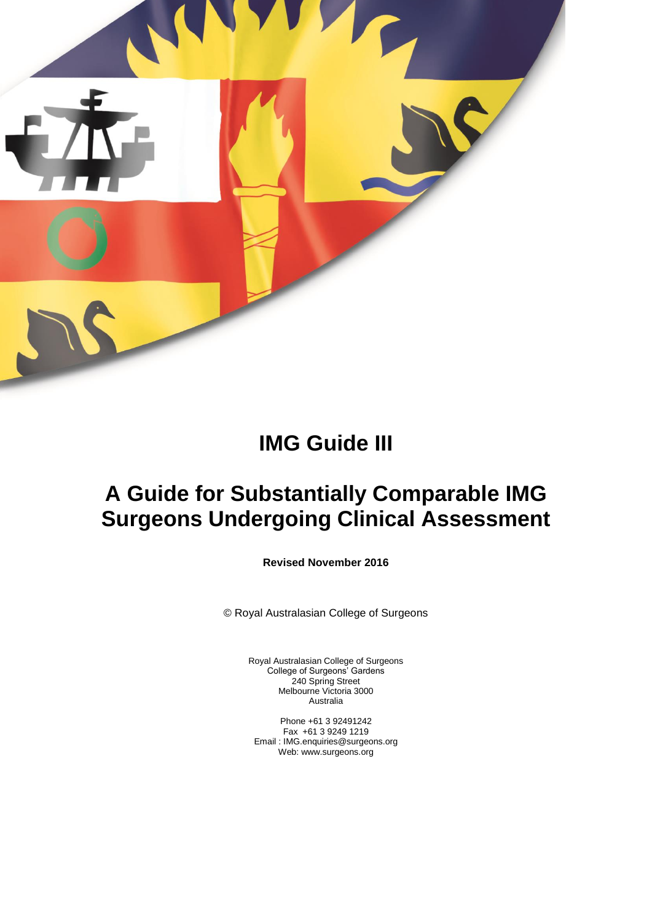

# **IMG Guide III**

# **A Guide for Substantially Comparable IMG Surgeons Undergoing Clinical Assessment**

**Revised November 2016**

© Royal Australasian College of Surgeons

Royal Australasian College of Surgeons College of Surgeons' Gardens 240 Spring Street Melbourne Victoria 3000 Australia

Phone +61 3 92491242 Fax +61 3 9249 1219 Email : IMG.enquiries@surgeons.org Web: www.surgeons.org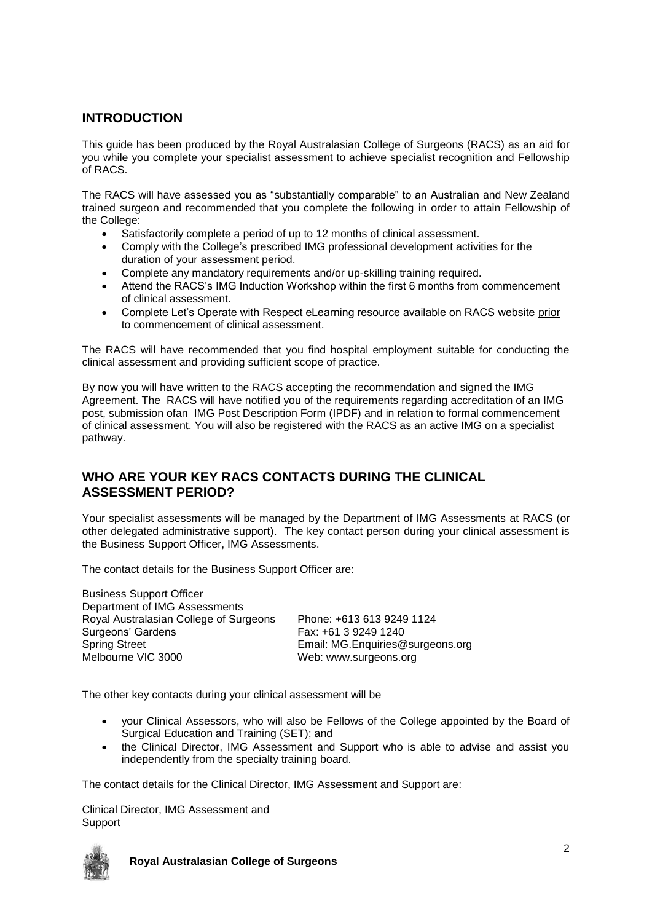# **INTRODUCTION**

This guide has been produced by the Royal Australasian College of Surgeons (RACS) as an aid for you while you complete your specialist assessment to achieve specialist recognition and Fellowship of RACS.

The RACS will have assessed you as "substantially comparable" to an Australian and New Zealand trained surgeon and recommended that you complete the following in order to attain Fellowship of the College:

- Satisfactorily complete a period of up to 12 months of clinical assessment.
- Comply with the College's prescribed IMG professional development activities for the duration of your assessment period.
- Complete any mandatory requirements and/or up-skilling training required.
- Attend the RACS's IMG Induction Workshop within the first 6 months from commencement of clinical assessment.
- Complete Let's Operate with Respect eLearning resource available on RACS website prior to commencement of clinical assessment.

The RACS will have recommended that you find hospital employment suitable for conducting the clinical assessment and providing sufficient scope of practice.

By now you will have written to the RACS accepting the recommendation and signed the IMG Agreement. The RACS will have notified you of the requirements regarding accreditation of an IMG post, submission ofan IMG Post Description Form (IPDF) and in relation to formal commencement of clinical assessment. You will also be registered with the RACS as an active IMG on a specialist pathway.

# **WHO ARE YOUR KEY RACS CONTACTS DURING THE CLINICAL ASSESSMENT PERIOD?**

Your specialist assessments will be managed by the Department of IMG Assessments at RACS (or other delegated administrative support). The key contact person during your clinical assessment is the Business Support Officer, IMG Assessments.

The contact details for the Business Support Officer are:

Business Support Officer Department of IMG Assessments Royal Australasian College of Surgeons Phone: +613 613 9249 1124 Surgeons' Gardens Fax: +61 3 9249 1240 Spring Street **Email: MG.Enquiries@surgeons.org**<br>Melbourne VIC 3000 Meb: www.surgeons.org

Web: www.surgeons.org

The other key contacts during your clinical assessment will be

- your Clinical Assessors, who will also be Fellows of the College appointed by the Board of Surgical Education and Training (SET); and
- the Clinical Director, IMG Assessment and Support who is able to advise and assist you independently from the specialty training board.

The contact details for the Clinical Director, IMG Assessment and Support are:

Clinical Director, IMG Assessment and **Support** 

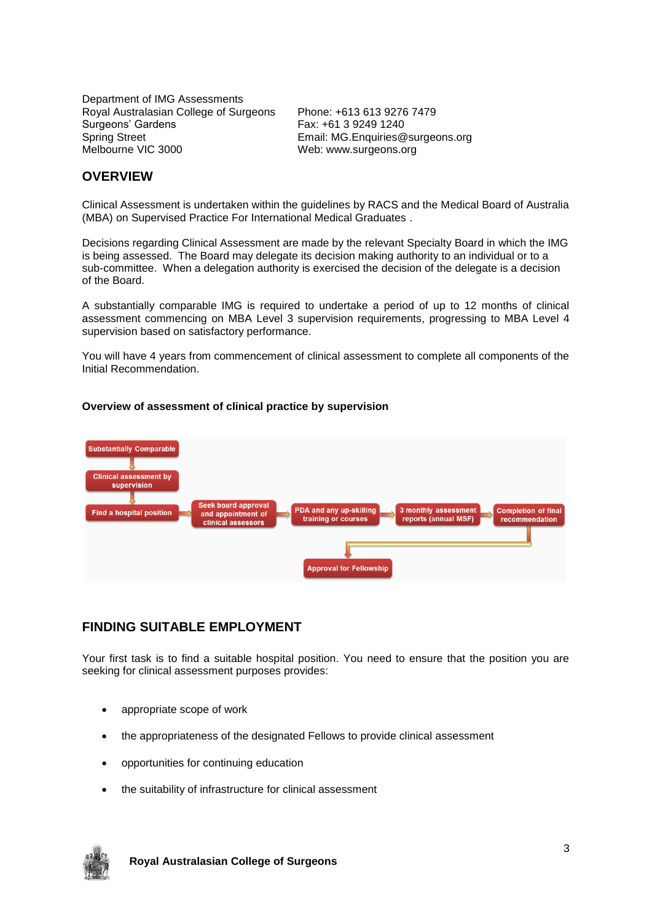Department of IMG Assessments Royal Australasian College of Surgeons Phone: +613 613 9276 7479 Surgeons' Gardens Fax: +61 3 9249 1240 Spring Street **Email: MG.Enquiries@surgeons.org**<br>Melbourne VIC 3000 Meb: www.surgeons.org

Web: www.surgeons.org

# **OVERVIEW**

Clinical Assessment is undertaken within the guidelines by RACS and the Medical Board of Australia (MBA) on Supervised Practice For International Medical Graduates .

Decisions regarding Clinical Assessment are made by the relevant Specialty Board in which the IMG is being assessed. The Board may delegate its decision making authority to an individual or to a sub-committee. When a delegation authority is exercised the decision of the delegate is a decision of the Board.

A substantially comparable IMG is required to undertake a period of up to 12 months of clinical assessment commencing on MBA Level 3 supervision requirements, progressing to MBA Level 4 supervision based on satisfactory performance.

You will have 4 years from commencement of clinical assessment to complete all components of the Initial Recommendation.

#### **Overview of assessment of clinical practice by supervision**



## **FINDING SUITABLE EMPLOYMENT**

Your first task is to find a suitable hospital position. You need to ensure that the position you are seeking for clinical assessment purposes provides:

- appropriate scope of work
- the appropriateness of the designated Fellows to provide clinical assessment
- opportunities for continuing education
- the suitability of infrastructure for clinical assessment

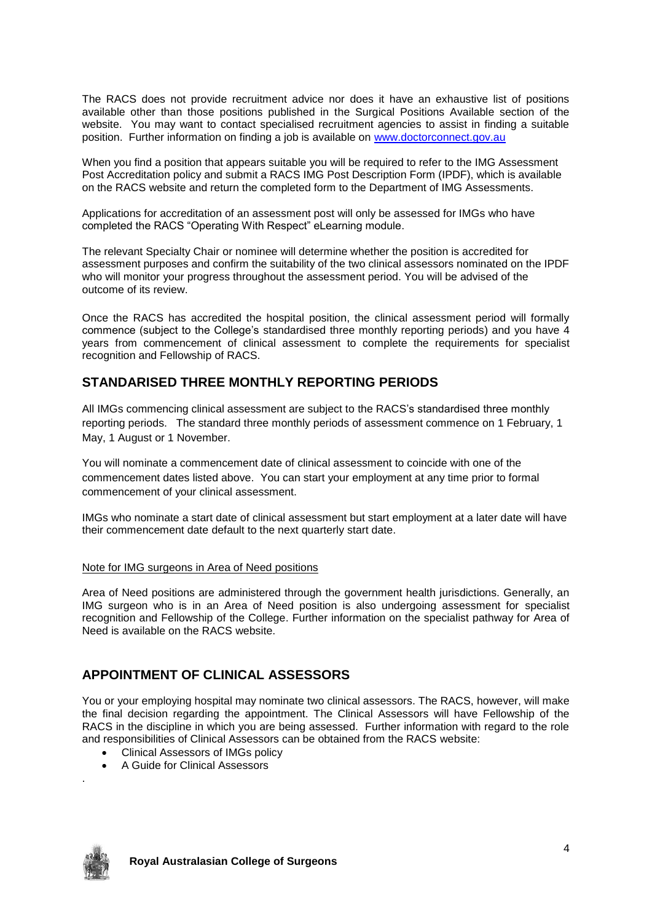The RACS does not provide recruitment advice nor does it have an exhaustive list of positions available other than those positions published in the Surgical Positions Available section of the website. You may want to contact specialised recruitment agencies to assist in finding a suitable position. Further information on finding a job is available on [www.doctorconnect.gov.au](http://www.doctorconnect.gov.au/)

When you find a position that appears suitable you will be required to refer to the IMG Assessment Post Accreditation policy and submit a RACS IMG Post Description Form (IPDF), which is available on the RACS website and return the completed form to the Department of IMG Assessments.

Applications for accreditation of an assessment post will only be assessed for IMGs who have completed the RACS "Operating With Respect" eLearning module.

The relevant Specialty Chair or nominee will determine whether the position is accredited for assessment purposes and confirm the suitability of the two clinical assessors nominated on the IPDF who will monitor your progress throughout the assessment period. You will be advised of the outcome of its review.

Once the RACS has accredited the hospital position, the clinical assessment period will formally commence (subject to the College's standardised three monthly reporting periods) and you have 4 years from commencement of clinical assessment to complete the requirements for specialist recognition and Fellowship of RACS.

## **STANDARISED THREE MONTHLY REPORTING PERIODS**

All IMGs commencing clinical assessment are subject to the RACS's standardised three monthly reporting periods. The standard three monthly periods of assessment commence on 1 February, 1 May, 1 August or 1 November.

You will nominate a commencement date of clinical assessment to coincide with one of the commencement dates listed above. You can start your employment at any time prior to formal commencement of your clinical assessment.

IMGs who nominate a start date of clinical assessment but start employment at a later date will have their commencement date default to the next quarterly start date.

#### Note for IMG surgeons in Area of Need positions

Area of Need positions are administered through the government health jurisdictions. Generally, an IMG surgeon who is in an Area of Need position is also undergoing assessment for specialist recognition and Fellowship of the College. Further information on the specialist pathway for Area of Need is available on the RACS website.

## **APPOINTMENT OF CLINICAL ASSESSORS**

You or your employing hospital may nominate two clinical assessors. The RACS, however, will make the final decision regarding the appointment. The Clinical Assessors will have Fellowship of the RACS in the discipline in which you are being assessed. Further information with regard to the role and responsibilities of Clinical Assessors can be obtained from the RACS website:

- Clinical Assessors of IMGs policy
- A Guide for Clinical Assessors



.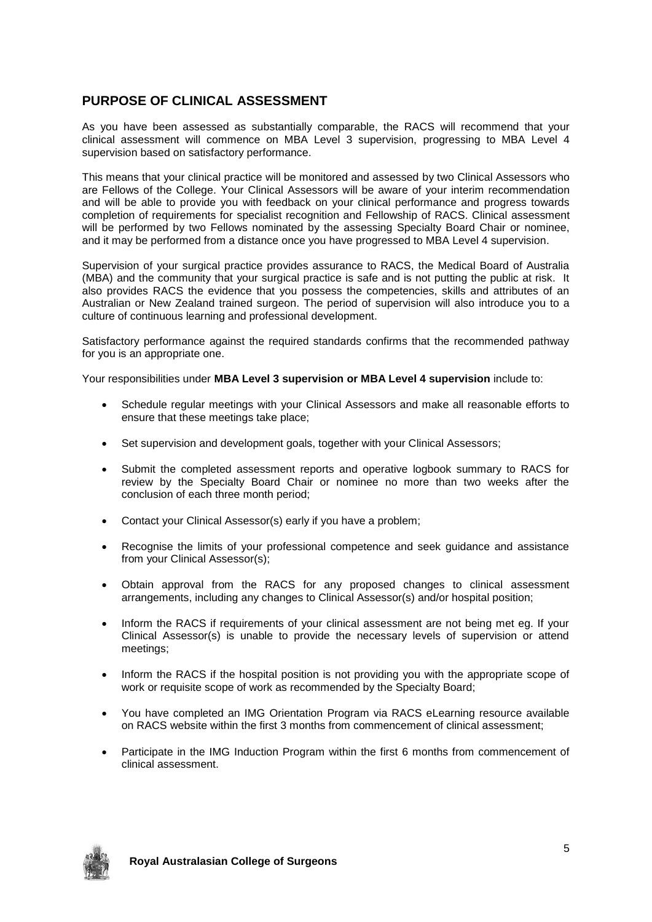# **PURPOSE OF CLINICAL ASSESSMENT**

As you have been assessed as substantially comparable, the RACS will recommend that your clinical assessment will commence on MBA Level 3 supervision, progressing to MBA Level 4 supervision based on satisfactory performance.

This means that your clinical practice will be monitored and assessed by two Clinical Assessors who are Fellows of the College. Your Clinical Assessors will be aware of your interim recommendation and will be able to provide you with feedback on your clinical performance and progress towards completion of requirements for specialist recognition and Fellowship of RACS. Clinical assessment will be performed by two Fellows nominated by the assessing Specialty Board Chair or nominee, and it may be performed from a distance once you have progressed to MBA Level 4 supervision.

Supervision of your surgical practice provides assurance to RACS, the Medical Board of Australia (MBA) and the community that your surgical practice is safe and is not putting the public at risk. It also provides RACS the evidence that you possess the competencies, skills and attributes of an Australian or New Zealand trained surgeon. The period of supervision will also introduce you to a culture of continuous learning and professional development.

Satisfactory performance against the required standards confirms that the recommended pathway for you is an appropriate one.

Your responsibilities under **MBA Level 3 supervision or MBA Level 4 supervision** include to:

- Schedule regular meetings with your Clinical Assessors and make all reasonable efforts to ensure that these meetings take place;
- Set supervision and development goals, together with your Clinical Assessors;
- Submit the completed assessment reports and operative logbook summary to RACS for review by the Specialty Board Chair or nominee no more than two weeks after the conclusion of each three month period;
- Contact your Clinical Assessor(s) early if you have a problem;
- Recognise the limits of your professional competence and seek guidance and assistance from your Clinical Assessor(s);
- Obtain approval from the RACS for any proposed changes to clinical assessment arrangements, including any changes to Clinical Assessor(s) and/or hospital position;
- Inform the RACS if requirements of your clinical assessment are not being met eg. If your Clinical Assessor(s) is unable to provide the necessary levels of supervision or attend meetings;
- Inform the RACS if the hospital position is not providing you with the appropriate scope of work or requisite scope of work as recommended by the Specialty Board;
- You have completed an IMG Orientation Program via RACS eLearning resource available on RACS website within the first 3 months from commencement of clinical assessment;
- Participate in the IMG Induction Program within the first 6 months from commencement of clinical assessment.

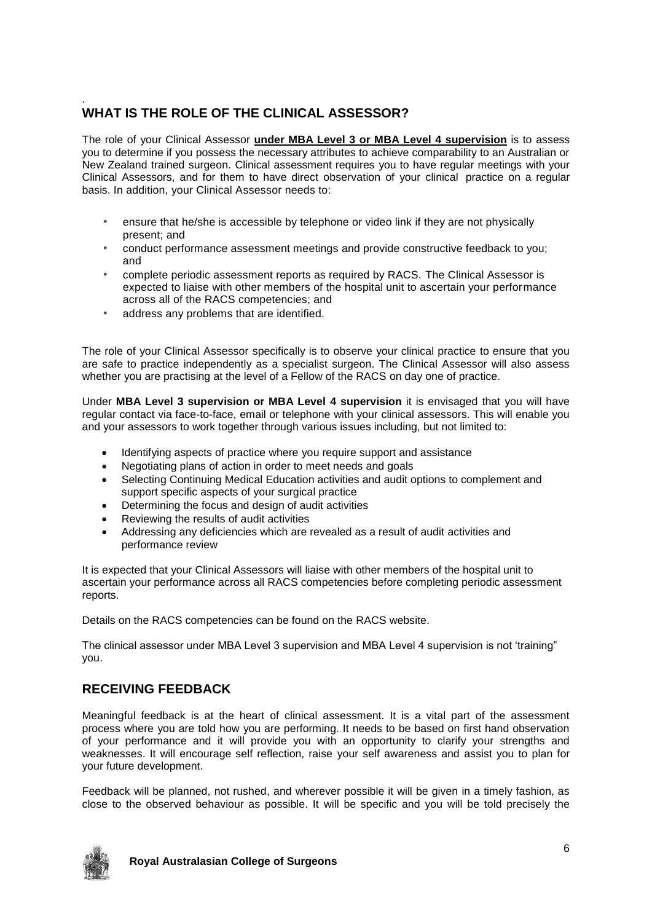#### . **WHAT IS THE ROLE OF THE CLINICAL ASSESSOR?**

The role of your Clinical Assessor **under MBA Level 3 or MBA Level 4 supervision** is to assess you to determine if you possess the necessary attributes to achieve comparability to an Australian or New Zealand trained surgeon. Clinical assessment requires you to have regular meetings with your Clinical Assessors, and for them to have direct observation of your clinical practice on a regular basis. In addition, your Clinical Assessor needs to:

- ensure that he/she is accessible by telephone or video link if they are not physically present; and
- conduct performance assessment meetings and provide constructive feedback to you; and
- complete periodic assessment reports as required by RACS. The Clinical Assessor is expected to liaise with other members of the hospital unit to ascertain your performance across all of the RACS competencies; and
- address any problems that are identified.

The role of your Clinical Assessor specifically is to observe your clinical practice to ensure that you are safe to practice independently as a specialist surgeon. The Clinical Assessor will also assess whether you are practising at the level of a Fellow of the RACS on day one of practice.

Under **MBA Level 3 supervision or MBA Level 4 supervision** it is envisaged that you will have regular contact via face-to-face, email or telephone with your clinical assessors. This will enable you and your assessors to work together through various issues including, but not limited to:

- Identifying aspects of practice where you require support and assistance
- Negotiating plans of action in order to meet needs and goals
- Selecting Continuing Medical Education activities and audit options to complement and support specific aspects of your surgical practice
- Determining the focus and design of audit activities
- Reviewing the results of audit activities
- Addressing any deficiencies which are revealed as a result of audit activities and performance review

It is expected that your Clinical Assessors will liaise with other members of the hospital unit to ascertain your performance across all RACS competencies before completing periodic assessment reports.

Details on the RACS competencies can be found on the RACS website.

The clinical assessor under MBA Level 3 supervision and MBA Level 4 supervision is not 'training" you.

# **RECEIVING FEEDBACK**

Meaningful feedback is at the heart of clinical assessment. It is a vital part of the assessment process where you are told how you are performing. It needs to be based on first hand observation of your performance and it will provide you with an opportunity to clarify your strengths and weaknesses. It will encourage self reflection, raise your self awareness and assist you to plan for your future development.

Feedback will be planned, not rushed, and wherever possible it will be given in a timely fashion, as close to the observed behaviour as possible. It will be specific and you will be told precisely the

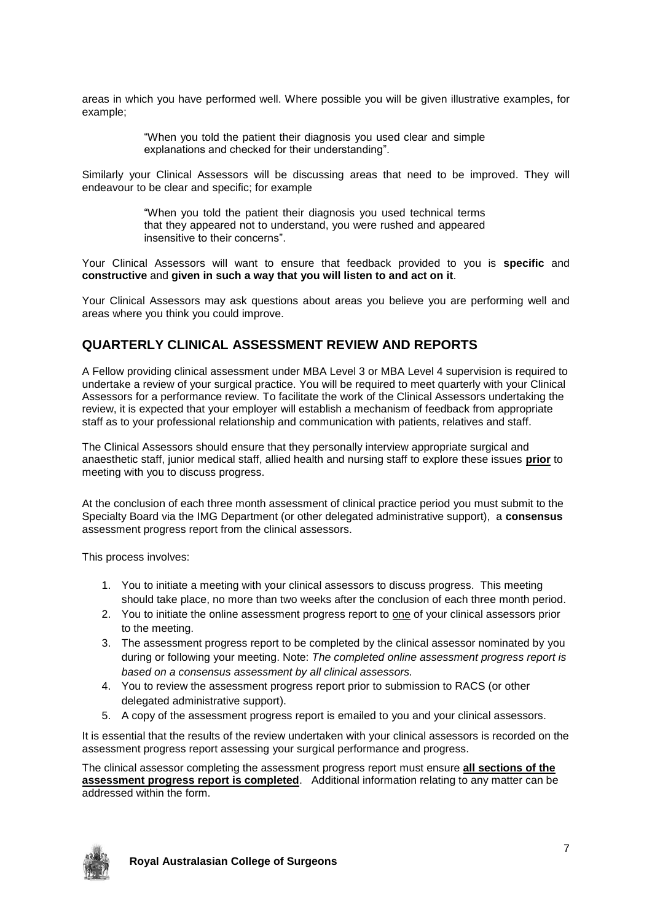areas in which you have performed well. Where possible you will be given illustrative examples, for example;

> "When you told the patient their diagnosis you used clear and simple explanations and checked for their understanding".

Similarly your Clinical Assessors will be discussing areas that need to be improved. They will endeavour to be clear and specific; for example

> "When you told the patient their diagnosis you used technical terms that they appeared not to understand, you were rushed and appeared insensitive to their concerns".

Your Clinical Assessors will want to ensure that feedback provided to you is **specific** and **constructive** and **given in such a way that you will listen to and act on it**.

Your Clinical Assessors may ask questions about areas you believe you are performing well and areas where you think you could improve.

#### **QUARTERLY CLINICAL ASSESSMENT REVIEW AND REPORTS**

A Fellow providing clinical assessment under MBA Level 3 or MBA Level 4 supervision is required to undertake a review of your surgical practice. You will be required to meet quarterly with your Clinical Assessors for a performance review. To facilitate the work of the Clinical Assessors undertaking the review, it is expected that your employer will establish a mechanism of feedback from appropriate staff as to your professional relationship and communication with patients, relatives and staff.

The Clinical Assessors should ensure that they personally interview appropriate surgical and anaesthetic staff, junior medical staff, allied health and nursing staff to explore these issues **prior** to meeting with you to discuss progress.

At the conclusion of each three month assessment of clinical practice period you must submit to the Specialty Board via the IMG Department (or other delegated administrative support), a **consensus**  assessment progress report from the clinical assessors.

This process involves:

- 1. You to initiate a meeting with your clinical assessors to discuss progress. This meeting should take place, no more than two weeks after the conclusion of each three month period.
- 2. You to initiate the online assessment progress report to one of your clinical assessors prior to the meeting.
- 3. The assessment progress report to be completed by the clinical assessor nominated by you during or following your meeting. Note: *The completed online assessment progress report is based on a consensus assessment by all clinical assessors.*
- 4. You to review the assessment progress report prior to submission to RACS (or other delegated administrative support).
- 5. A copy of the assessment progress report is emailed to you and your clinical assessors.

It is essential that the results of the review undertaken with your clinical assessors is recorded on the assessment progress report assessing your surgical performance and progress.

The clinical assessor completing the assessment progress report must ensure **all sections of the assessment progress report is completed**. Additional information relating to any matter can be addressed within the form.

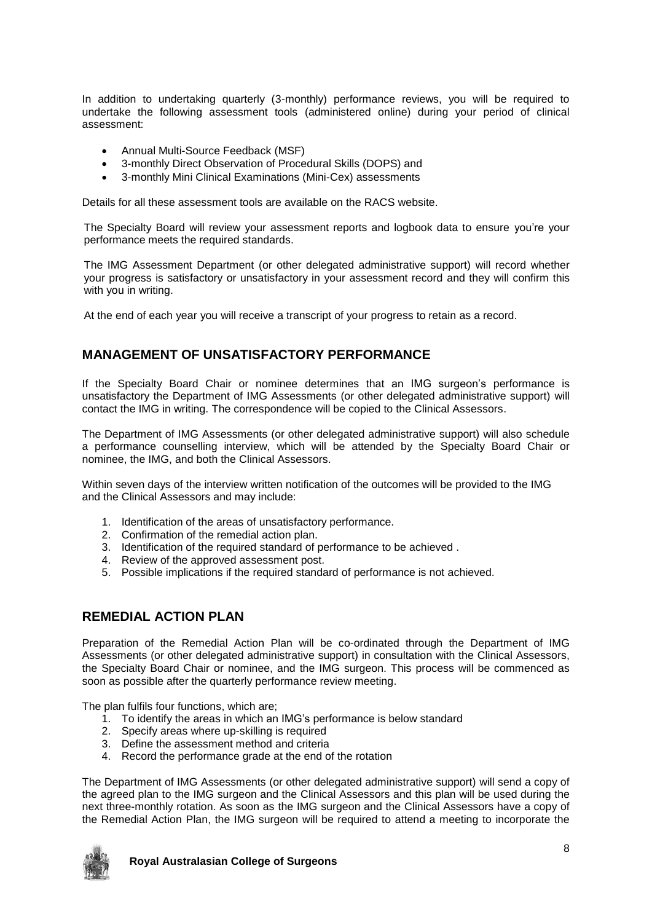In addition to undertaking quarterly (3-monthly) performance reviews, you will be required to undertake the following assessment tools (administered online) during your period of clinical assessment:

- Annual Multi-Source Feedback (MSF)
- 3-monthly Direct Observation of Procedural Skills (DOPS) and
- 3-monthly Mini Clinical Examinations (Mini-Cex) assessments

Details for all these assessment tools are available on the RACS website.

The Specialty Board will review your assessment reports and logbook data to ensure you're your performance meets the required standards.

The IMG Assessment Department (or other delegated administrative support) will record whether your progress is satisfactory or unsatisfactory in your assessment record and they will confirm this with you in writing.

At the end of each year you will receive a transcript of your progress to retain as a record.

## **MANAGEMENT OF UNSATISFACTORY PERFORMANCE**

If the Specialty Board Chair or nominee determines that an IMG surgeon's performance is unsatisfactory the Department of IMG Assessments (or other delegated administrative support) will contact the IMG in writing. The correspondence will be copied to the Clinical Assessors.

The Department of IMG Assessments (or other delegated administrative support) will also schedule a performance counselling interview, which will be attended by the Specialty Board Chair or nominee, the IMG, and both the Clinical Assessors.

Within seven days of the interview written notification of the outcomes will be provided to the IMG and the Clinical Assessors and may include:

- 1. Identification of the areas of unsatisfactory performance.
- 2. Confirmation of the remedial action plan.
- 3. Identification of the required standard of performance to be achieved .
- 4. Review of the approved assessment post.
- 5. Possible implications if the required standard of performance is not achieved.

# **REMEDIAL ACTION PLAN**

Preparation of the Remedial Action Plan will be co-ordinated through the Department of IMG Assessments (or other delegated administrative support) in consultation with the Clinical Assessors, the Specialty Board Chair or nominee, and the IMG surgeon. This process will be commenced as soon as possible after the quarterly performance review meeting.

The plan fulfils four functions, which are;

- 1. To identify the areas in which an IMG's performance is below standard
- 2. Specify areas where up-skilling is required
- 3. Define the assessment method and criteria
- 4. Record the performance grade at the end of the rotation

The Department of IMG Assessments (or other delegated administrative support) will send a copy of the agreed plan to the IMG surgeon and the Clinical Assessors and this plan will be used during the next three-monthly rotation. As soon as the IMG surgeon and the Clinical Assessors have a copy of the Remedial Action Plan, the IMG surgeon will be required to attend a meeting to incorporate the

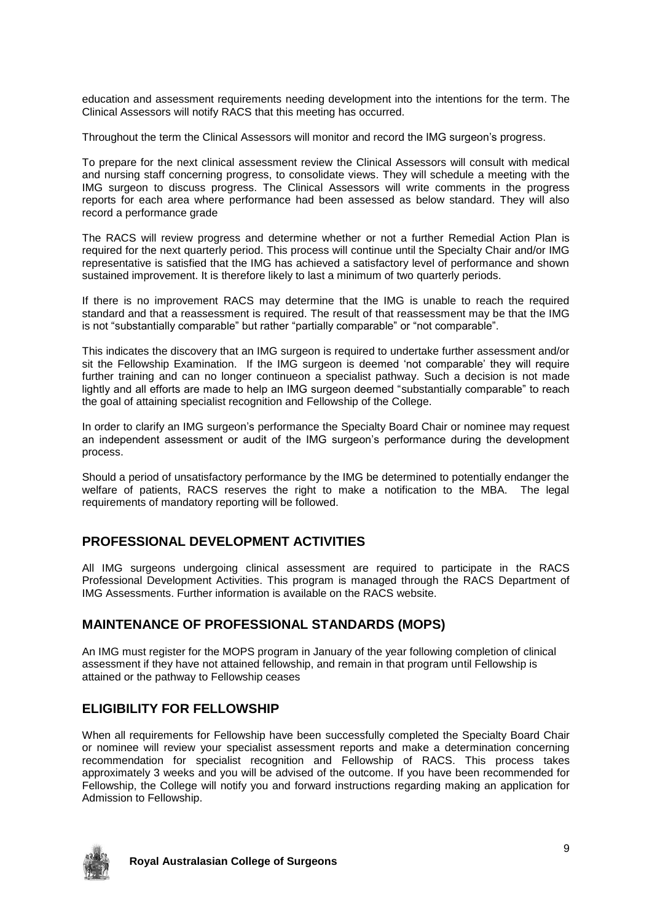education and assessment requirements needing development into the intentions for the term. The Clinical Assessors will notify RACS that this meeting has occurred.

Throughout the term the Clinical Assessors will monitor and record the IMG surgeon's progress.

To prepare for the next clinical assessment review the Clinical Assessors will consult with medical and nursing staff concerning progress, to consolidate views. They will schedule a meeting with the IMG surgeon to discuss progress. The Clinical Assessors will write comments in the progress reports for each area where performance had been assessed as below standard. They will also record a performance grade

The RACS will review progress and determine whether or not a further Remedial Action Plan is required for the next quarterly period. This process will continue until the Specialty Chair and/or IMG representative is satisfied that the IMG has achieved a satisfactory level of performance and shown sustained improvement. It is therefore likely to last a minimum of two quarterly periods.

If there is no improvement RACS may determine that the IMG is unable to reach the required standard and that a reassessment is required. The result of that reassessment may be that the IMG is not "substantially comparable" but rather "partially comparable" or "not comparable".

This indicates the discovery that an IMG surgeon is required to undertake further assessment and/or sit the Fellowship Examination. If the IMG surgeon is deemed 'not comparable' they will require further training and can no longer continueon a specialist pathway. Such a decision is not made lightly and all efforts are made to help an IMG surgeon deemed "substantially comparable" to reach the goal of attaining specialist recognition and Fellowship of the College.

In order to clarify an IMG surgeon's performance the Specialty Board Chair or nominee may request an independent assessment or audit of the IMG surgeon's performance during the development process.

Should a period of unsatisfactory performance by the IMG be determined to potentially endanger the welfare of patients, RACS reserves the right to make a notification to the MBA. The legal requirements of mandatory reporting will be followed.

## **PROFESSIONAL DEVELOPMENT ACTIVITIES**

All IMG surgeons undergoing clinical assessment are required to participate in the RACS Professional Development Activities. This program is managed through the RACS Department of IMG Assessments. Further information is available on the RACS website.

## **MAINTENANCE OF PROFESSIONAL STANDARDS (MOPS)**

An IMG must register for the MOPS program in January of the year following completion of clinical assessment if they have not attained fellowship, and remain in that program until Fellowship is attained or the pathway to Fellowship ceases

# **ELIGIBILITY FOR FELLOWSHIP**

When all requirements for Fellowship have been successfully completed the Specialty Board Chair or nominee will review your specialist assessment reports and make a determination concerning recommendation for specialist recognition and Fellowship of RACS. This process takes approximately 3 weeks and you will be advised of the outcome. If you have been recommended for Fellowship, the College will notify you and forward instructions regarding making an application for Admission to Fellowship.

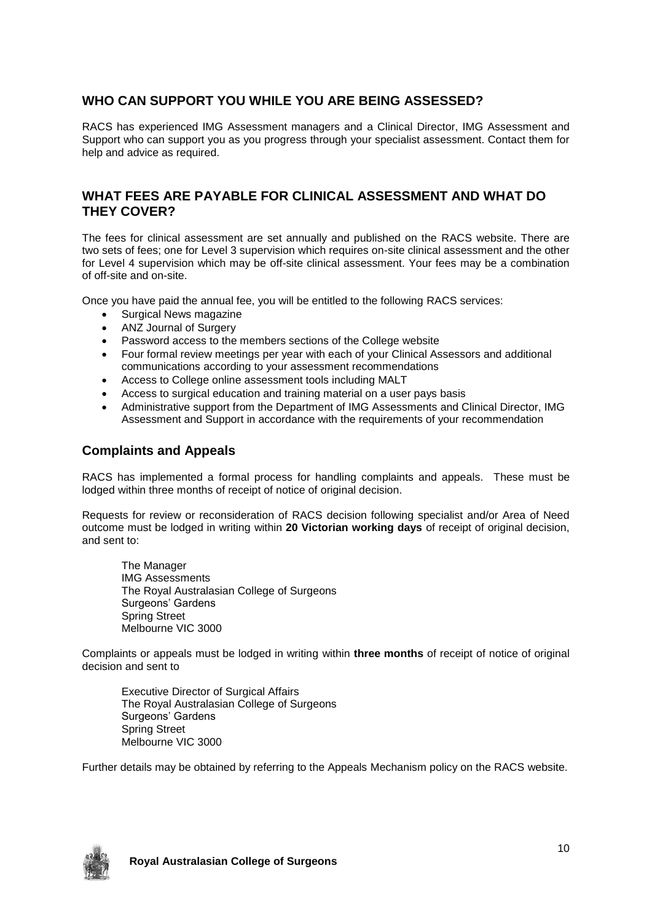# **WHO CAN SUPPORT YOU WHILE YOU ARE BEING ASSESSED?**

RACS has experienced IMG Assessment managers and a Clinical Director, IMG Assessment and Support who can support you as you progress through your specialist assessment. Contact them for help and advice as required.

#### **WHAT FEES ARE PAYABLE FOR CLINICAL ASSESSMENT AND WHAT DO THEY COVER?**

The fees for clinical assessment are set annually and published on the RACS website. There are two sets of fees; one for Level 3 supervision which requires on-site clinical assessment and the other for Level 4 supervision which may be off-site clinical assessment. Your fees may be a combination of off-site and on-site.

Once you have paid the annual fee, you will be entitled to the following RACS services:

- Surgical News magazine
- ANZ Journal of Surgery
- Password access to the members sections of the College website
- Four formal review meetings per year with each of your Clinical Assessors and additional communications according to your assessment recommendations
- Access to College online assessment tools including MALT
- Access to surgical education and training material on a user pays basis
- Administrative support from the Department of IMG Assessments and Clinical Director, IMG Assessment and Support in accordance with the requirements of your recommendation

#### **Complaints and Appeals**

RACS has implemented a formal process for handling complaints and appeals. These must be lodged within three months of receipt of notice of original decision.

Requests for review or reconsideration of RACS decision following specialist and/or Area of Need outcome must be lodged in writing within **20 Victorian working days** of receipt of original decision, and sent to:

The Manager IMG Assessments The Royal Australasian College of Surgeons Surgeons' Gardens Spring Street Melbourne VIC 3000

Complaints or appeals must be lodged in writing within **three months** of receipt of notice of original decision and sent to

Executive Director of Surgical Affairs The Royal Australasian College of Surgeons Surgeons' Gardens Spring Street Melbourne VIC 3000

Further details may be obtained by referring to the Appeals Mechanism policy on the RACS website.